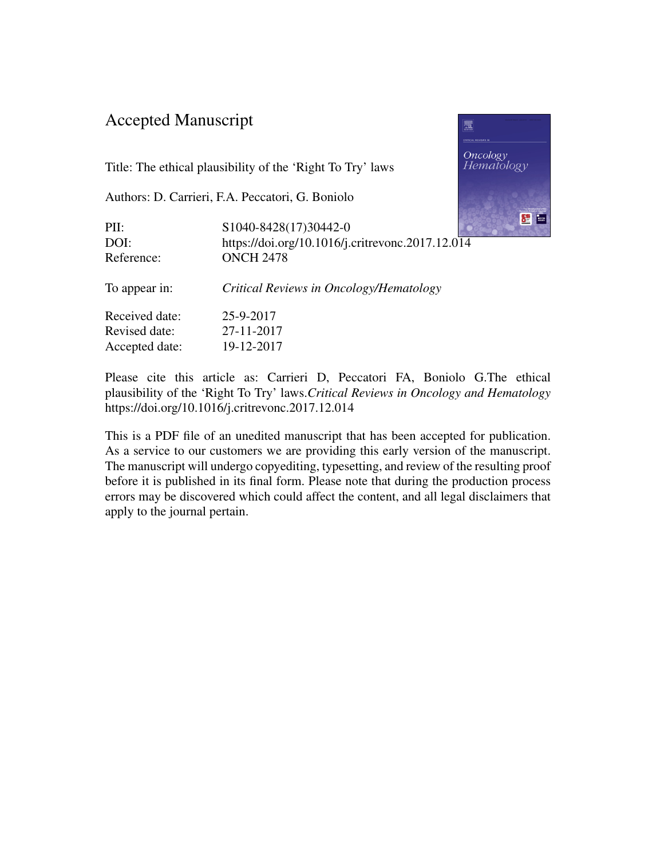### Accepted Manuscript

Title: The ethical plausibility of the 'Right To Try' laws

Authors: D. Carrieri, F.A. Peccatori, G. Boniolo



Please cite this article as: Carrieri D, Peccatori FA, Boniolo G.The ethical plausibility of the 'Right To Try' laws.*Critical Reviews in Oncology and Hematology* https://doi.org/10.1016/j.critrevonc.2017.12.014

This is a PDF file of an unedited manuscript that has been accepted for publication. As a service to our customers we are providing this early version of the manuscript. The manuscript will undergo copyediting, typesetting, and review of the resulting proof before it is published in its final form. Please note that during the production process errors may be discovered which could affect the content, and all legal disclaimers that apply to the journal pertain.

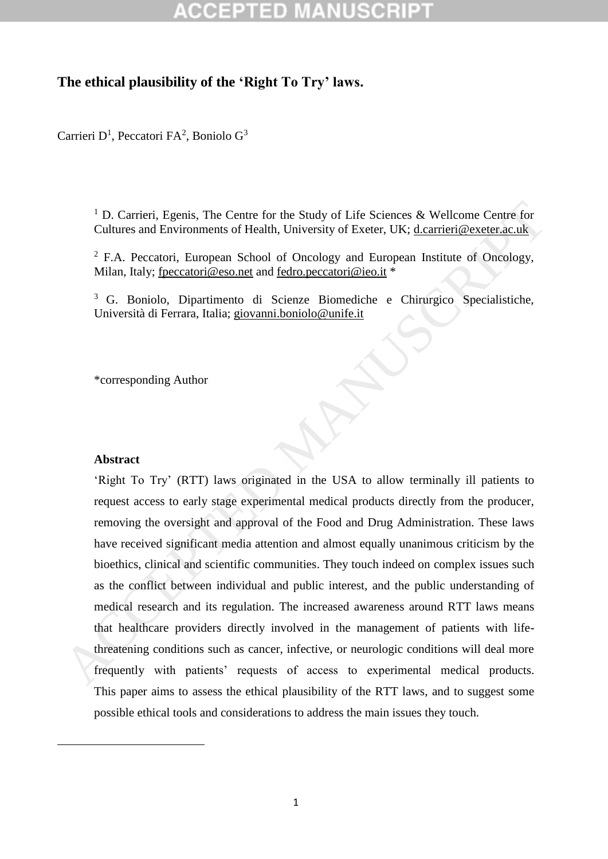### **The ethical plausibility of the 'Right To Try' laws.**

Carrieri D<sup>1</sup>, Peccatori FA<sup>2</sup>, Boniolo G<sup>3</sup>

<sup>1</sup> D. Carrieri, Egenis, The Centre for the Study of Life Sciences & Wellcome Centre for Cultures and Environments of Health, University of Exeter, UK; d.carrieri@exeter.ac.uk

 $2$  F.A. Peccatori, European School of Oncology and European Institute of Oncology, Milan, Italy; fpeccatori@eso.net and fedro.peccatori@ieo.it \*

<sup>3</sup>G. Boniolo, Dipartimento di Scienze Biomediche e Chirurgico Specialistiche, Università di Ferrara, Italia; giovanni.boniolo@unife.it

\*corresponding Author

### **Abstract**

 $\ddot{\phantom{a}}$ 

'Right To Try' (RTT) laws originated in the USA to allow terminally ill patients to request access to early stage experimental medical products directly from the producer, removing the oversight and approval of the Food and Drug Administration. These laws have received significant media attention and almost equally unanimous criticism by the bioethics, clinical and scientific communities. They touch indeed on complex issues such as the conflict between individual and public interest, and the public understanding of medical research and its regulation. The increased awareness around RTT laws means that healthcare providers directly involved in the management of patients with lifethreatening conditions such as cancer, infective, or neurologic conditions will deal more frequently with patients' requests of access to experimental medical products. This paper aims to assess the ethical plausibility of the RTT laws, and to suggest some possible ethical tools and considerations to address the main issues they touch. <sup>1</sup> D. Carrieri, Egenis, The Centre for the Study of Life Sciences & Wellcome Centre for<br>
Cultures and Environments of Health, University of Exeter, UK; <u>d.carrieri@exetenac uk</u><br>
<sup>2</sup> E.A. Peccetori, European School of Onc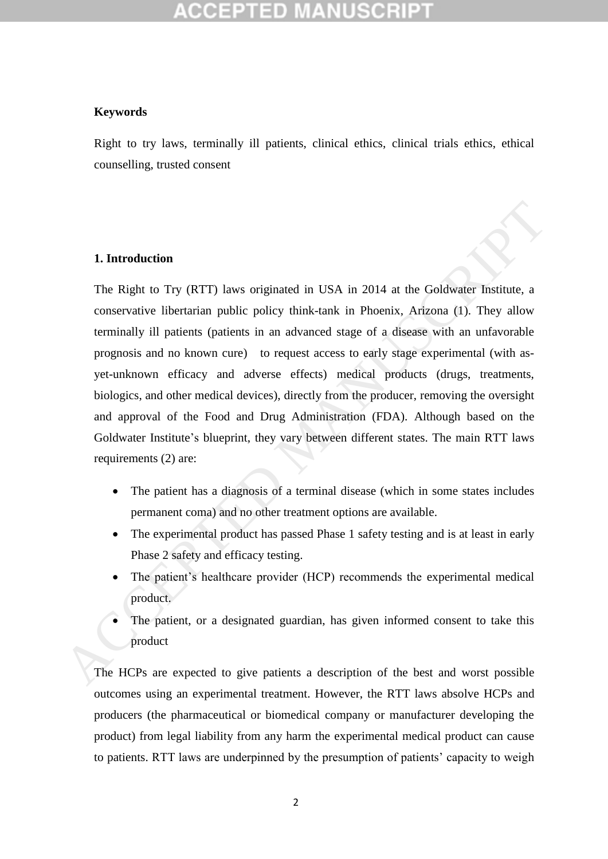### **Keywords**

Right to try laws, terminally ill patients, clinical ethics, clinical trials ethics, ethical counselling, trusted consent

### **1. Introduction**

The Right to Try (RTT) laws originated in USA in 2014 at the Goldwater Institute, a conservative libertarian public policy think-tank in Phoenix, Arizona (1). They allow terminally ill patients (patients in an advanced stage of a disease with an unfavorable prognosis and no known cure) to request access to early stage experimental (with asyet-unknown efficacy and adverse effects) medical products (drugs, treatments, biologics, and other medical devices), directly from the producer, removing the oversight and approval of the Food and Drug Administration (FDA). Although based on the Goldwater Institute's blueprint, they vary between different states. The main RTT laws requirements (2) are: **1. Introduction**<br>
The Right to Try (RTT) laws originated in USA in 2014 at the Goldwater Institute, a<br>
conservative libertarian public policy think-tank in Phoenix. Arizona (1). They allow<br>
terminally ill patients (patie

- The patient has a diagnosis of a terminal disease (which in some states includes permanent coma) and no other treatment options are available.
- The experimental product has passed Phase 1 safety testing and is at least in early Phase 2 safety and efficacy testing.
- The patient's healthcare provider (HCP) recommends the experimental medical product.
- The patient, or a designated guardian, has given informed consent to take this product

The HCPs are expected to give patients a description of the best and worst possible outcomes using an experimental treatment. However, the RTT laws absolve HCPs and producers (the pharmaceutical or biomedical company or manufacturer developing the product) from legal liability from any harm the experimental medical product can cause to patients. RTT laws are underpinned by the presumption of patients' capacity to weigh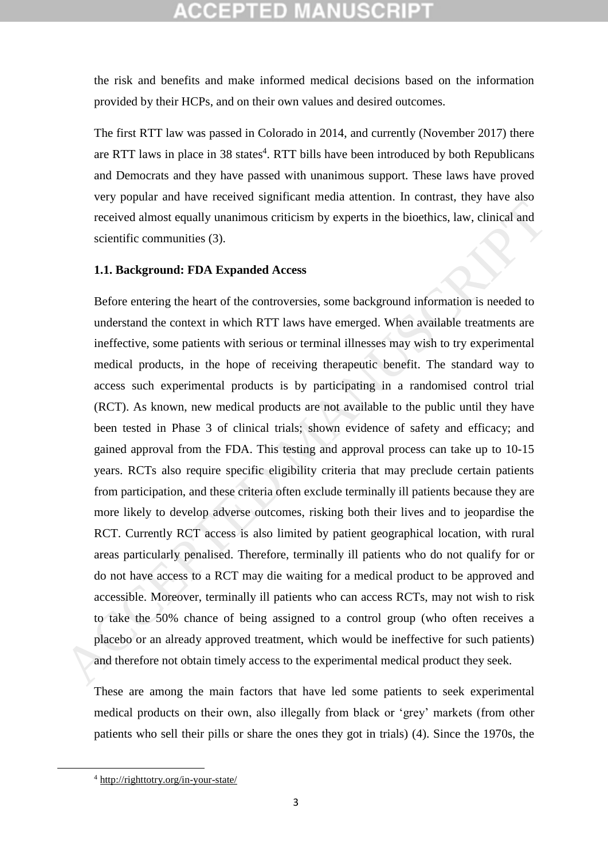# :GEPTED M

the risk and benefits and make informed medical decisions based on the information provided by their HCPs, and on their own values and desired outcomes.

The first RTT law was passed in Colorado in 2014, and currently (November 2017) there are RTT laws in place in 38 states<sup>4</sup>. RTT bills have been introduced by both Republicans and Democrats and they have passed with unanimous support. These laws have proved very popular and have received significant media attention. In contrast, they have also received almost equally unanimous criticism by experts in the bioethics, law, clinical and scientific communities (3).

### **1.1. Background: FDA Expanded Access**

Before entering the heart of the controversies, some background information is needed to understand the context in which RTT laws have emerged. When available treatments are ineffective, some patients with serious or terminal illnesses may wish to try experimental medical products, in the hope of receiving therapeutic benefit. The standard way to access such experimental products is by participating in a randomised control trial (RCT). As known, new medical products are not available to the public until they have been tested in Phase 3 of clinical trials; shown evidence of safety and efficacy; and gained approval from the FDA. This testing and approval process can take up to 10-15 years. RCTs also require specific eligibility criteria that may preclude certain patients from participation, and these criteria often exclude terminally ill patients because they are more likely to develop adverse outcomes, risking both their lives and to jeopardise the RCT. Currently RCT access is also limited by patient geographical location, with rural areas particularly penalised. Therefore, terminally ill patients who do not qualify for or do not have access to a RCT may die waiting for a medical product to be approved and accessible. Moreover, terminally ill patients who can access RCTs, may not wish to risk to take the 50% chance of being assigned to a control group (who often receives a placebo or an already approved treatment, which would be ineffective for such patients) and therefore not obtain timely access to the experimental medical product they seek. received almost equally unanimous criticism by experts in the bioethics, law, clinical and<br>scientific communities (3).<br>
1.1. Background: FDA Expanded Access<br>
Before entering the heart of the controversies, some background

These are among the main factors that have led some patients to seek experimental medical products on their own, also illegally from black or 'grey' markets (from other patients who sell their pills or share the ones they got in trials) (4). Since the 1970s, the

 $\overline{a}$ 

<sup>4</sup> http://righttotry.org/in-your-state/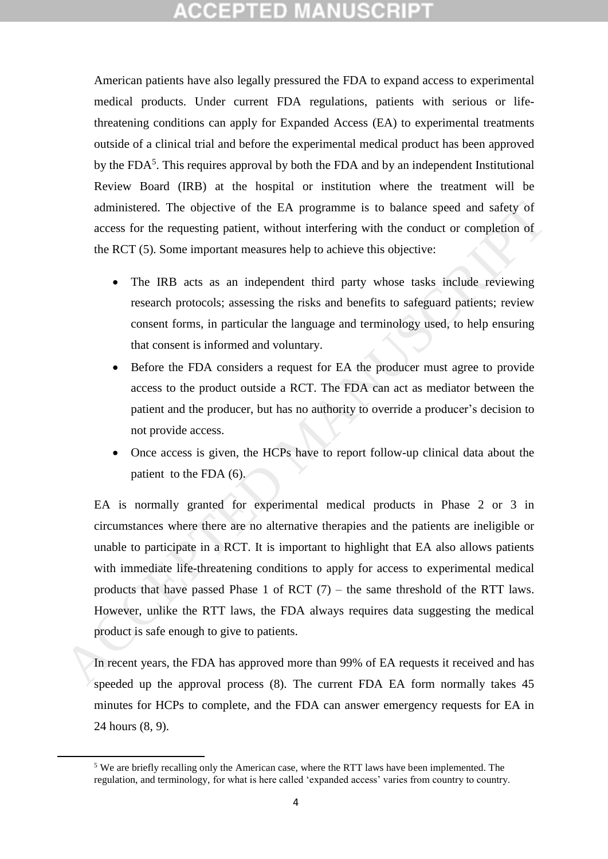# 12 H 2D)

American patients have also legally pressured the FDA to expand access to experimental medical products. Under current FDA regulations, patients with serious or lifethreatening conditions can apply for Expanded Access (EA) to experimental treatments outside of a clinical trial and before the experimental medical product has been approved by the  $FDA<sup>5</sup>$ . This requires approval by both the FDA and by an independent Institutional Review Board (IRB) at the hospital or institution where the treatment will be administered. The objective of the EA programme is to balance speed and safety of access for the requesting patient, without interfering with the conduct or completion of the RCT (5). Some important measures help to achieve this objective:

- The IRB acts as an independent third party whose tasks include reviewing research protocols; assessing the risks and benefits to safeguard patients; review consent forms, in particular the language and terminology used, to help ensuring that consent is informed and voluntary.
- Before the FDA considers a request for EA the producer must agree to provide access to the product outside a RCT. The FDA can act as mediator between the patient and the producer, but has no authority to override a producer's decision to not provide access.
- Once access is given, the HCPs have to report follow-up clinical data about the patient to the FDA (6).

EA is normally granted for experimental medical products in Phase 2 or 3 in circumstances where there are no alternative therapies and the patients are ineligible or unable to participate in a RCT. It is important to highlight that EA also allows patients with immediate life-threatening conditions to apply for access to experimental medical products that have passed Phase 1 of RCT (7) – the same threshold of the RTT laws. However, unlike the RTT laws, the FDA always requires data suggesting the medical product is safe enough to give to patients. administered. The objective of the EA programme is to balance speed and safety of<br>access for the requesting patient, without interfering with the conduct or completion of<br>the RCT (5). Some important measures help to achie

In recent years, the FDA has approved more than 99% of EA requests it received and has speeded up the approval process (8). The current FDA EA form normally takes 45 minutes for HCPs to complete, and the FDA can answer emergency requests for EA in 24 hours (8, 9).

 $\overline{a}$ 

 $5$  We are briefly recalling only the American case, where the RTT laws have been implemented. The regulation, and terminology, for what is here called 'expanded access' varies from country to country.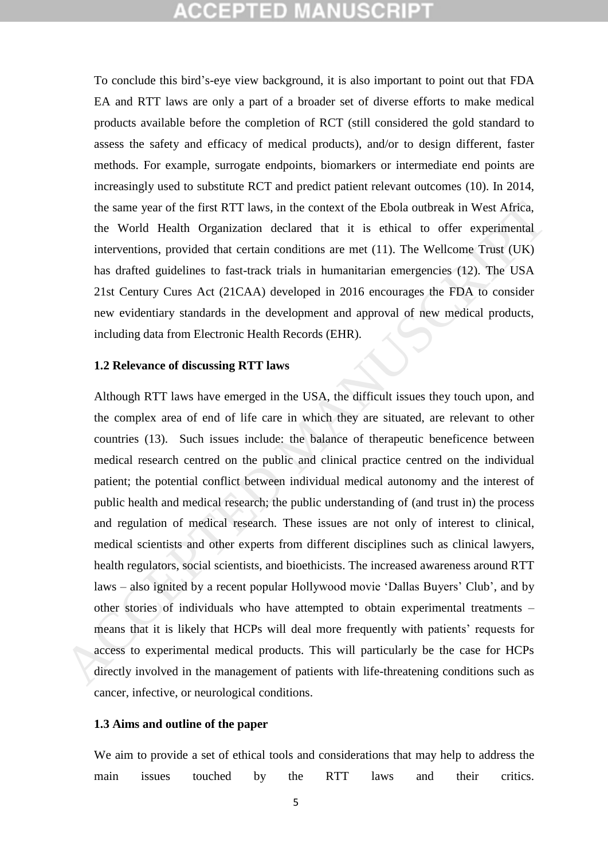# **CCEPTED MANUSCR**

To conclude this bird's-eye view background, it is also important to point out that FDA EA and RTT laws are only a part of a broader set of diverse efforts to make medical products available before the completion of RCT (still considered the gold standard to assess the safety and efficacy of medical products), and/or to design different, faster methods. For example, surrogate endpoints, biomarkers or intermediate end points are increasingly used to substitute RCT and predict patient relevant outcomes (10). In 2014, the same year of the first RTT laws, in the context of the Ebola outbreak in West Africa, the World Health Organization declared that it is ethical to offer experimental interventions, provided that certain conditions are met (11). The Wellcome Trust (UK) has drafted guidelines to fast-track trials in humanitarian emergencies (12). The USA 21st Century Cures Act (21CAA) developed in 2016 encourages the FDA to consider new evidentiary standards in the development and approval of new medical products, including data from Electronic Health Records (EHR).

#### **1.2 Relevance of discussing RTT laws**

Although RTT laws have emerged in the USA, the difficult issues they touch upon, and the complex area of end of life care in which they are situated, are relevant to other countries (13). Such issues include: the balance of therapeutic beneficence between medical research centred on the public and clinical practice centred on the individual patient; the potential conflict between individual medical autonomy and the interest of public health and medical research; the public understanding of (and trust in) the process and regulation of medical research. These issues are not only of interest to clinical, medical scientists and other experts from different disciplines such as clinical lawyers, health regulators, social scientists, and bioethicists. The increased awareness around RTT laws – also ignited by a recent popular Hollywood movie 'Dallas Buyers' Club', and by other stories of individuals who have attempted to obtain experimental treatments – means that it is likely that HCPs will deal more frequently with patients' requests for access to experimental medical products. This will particularly be the case for HCPs directly involved in the management of patients with life-threatening conditions such as cancer, infective, or neurological conditions. the same year of the first RTT laws, in the context of the Ebola outhreak in West Africa,<br>the World Health Organization declared that it is ethical to offer experimental<br>interventions, provided that certain conditions are

#### **1.3 Aims and outline of the paper**

We aim to provide a set of ethical tools and considerations that may help to address the main issues touched by the RTT laws and their critics.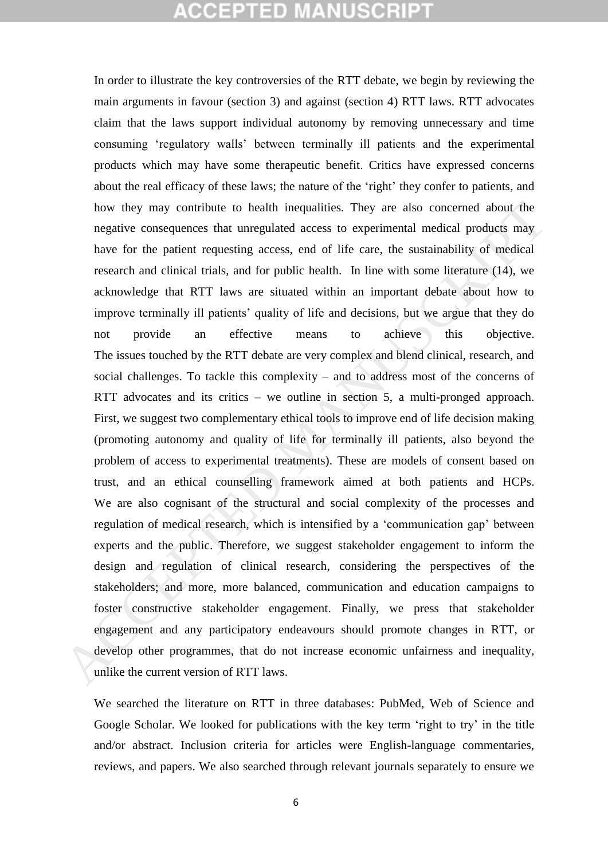# **CCEPTED MANUSCRIP**

In order to illustrate the key controversies of the RTT debate, we begin by reviewing the main arguments in favour (section 3) and against (section 4) RTT laws. RTT advocates claim that the laws support individual autonomy by removing unnecessary and time consuming 'regulatory walls' between terminally ill patients and the experimental products which may have some therapeutic benefit. Critics have expressed concerns about the real efficacy of these laws; the nature of the 'right' they confer to patients, and how they may contribute to health inequalities. They are also concerned about the negative consequences that unregulated access to experimental medical products may have for the patient requesting access, end of life care, the sustainability of medical research and clinical trials, and for public health. In line with some literature (14), we acknowledge that RTT laws are situated within an important debate about how to improve terminally ill patients' quality of life and decisions, but we argue that they do not provide an effective means to achieve this objective. The issues touched by the RTT debate are very complex and blend clinical, research, and social challenges. To tackle this complexity – and to address most of the concerns of RTT advocates and its critics – we outline in section 5, a multi-pronged approach. First, we suggest two complementary ethical tools to improve end of life decision making (promoting autonomy and quality of life for terminally ill patients, also beyond the problem of access to experimental treatments). These are models of consent based on trust, and an ethical counselling framework aimed at both patients and HCPs. We are also cognisant of the structural and social complexity of the processes and regulation of medical research, which is intensified by a 'communication gap' between experts and the public. Therefore, we suggest stakeholder engagement to inform the design and regulation of clinical research, considering the perspectives of the stakeholders; and more, more balanced, communication and education campaigns to foster constructive stakeholder engagement. Finally, we press that stakeholder engagement and any participatory endeavours should promote changes in RTT, or develop other programmes, that do not increase economic unfairness and inequality, unlike the current version of RTT laws. how they may contribute to health inequalities. They are also concerned about the negative consequences that unregulated access to experimental medical products may how for the paired requestion access, end of life care, t

We searched the literature on RTT in three databases: PubMed, Web of Science and Google Scholar. We looked for publications with the key term 'right to try' in the title and/or abstract. Inclusion criteria for articles were English-language commentaries, reviews, and papers. We also searched through relevant journals separately to ensure we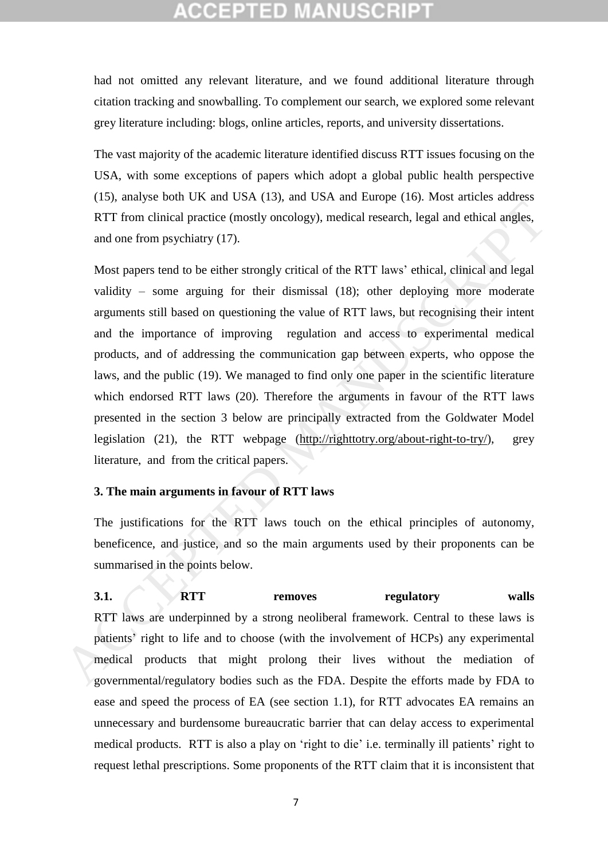# **CCEPTED MANUSCR**

had not omitted any relevant literature, and we found additional literature through citation tracking and snowballing. To complement our search, we explored some relevant grey literature including: blogs, online articles, reports, and university dissertations.

The vast majority of the academic literature identified discuss RTT issues focusing on the USA, with some exceptions of papers which adopt a global public health perspective (15), analyse both UK and USA (13), and USA and Europe (16). Most articles address RTT from clinical practice (mostly oncology), medical research, legal and ethical angles, and one from psychiatry (17).

Most papers tend to be either strongly critical of the RTT laws' ethical, clinical and legal validity – some arguing for their dismissal (18); other deploying more moderate arguments still based on questioning the value of RTT laws, but recognising their intent and the importance of improving regulation and access to experimental medical products, and of addressing the communication gap between experts, who oppose the laws, and the public (19). We managed to find only one paper in the scientific literature which endorsed RTT laws (20). Therefore the arguments in favour of the RTT laws presented in the section 3 below are principally extracted from the Goldwater Model legislation (21), the RTT webpage (http://righttotry.org/about-right-to-try/), grey literature, and from the critical papers. RTT from clinical practice (mostly oncology), medical research, legal and ethical angles,<br>
and one from psychiatry (17).<br>
Most papers tend to be either strongly critical of the RTT laws' ethical, clinical and legal<br>
validi

### **3. The main arguments in favour of RTT laws**

The justifications for the RTT laws touch on the ethical principles of autonomy, beneficence, and justice, and so the main arguments used by their proponents can be summarised in the points below.

**3.1. RTT removes regulatory** walls RTT laws are underpinned by a strong neoliberal framework. Central to these laws is patients' right to life and to choose (with the involvement of HCPs) any experimental medical products that might prolong their lives without the mediation of governmental/regulatory bodies such as the FDA. Despite the efforts made by FDA to ease and speed the process of EA (see section 1.1), for RTT advocates EA remains an unnecessary and burdensome bureaucratic barrier that can delay access to experimental medical products. RTT is also a play on 'right to die' i.e. terminally ill patients' right to request lethal prescriptions. Some proponents of the RTT claim that it is inconsistent that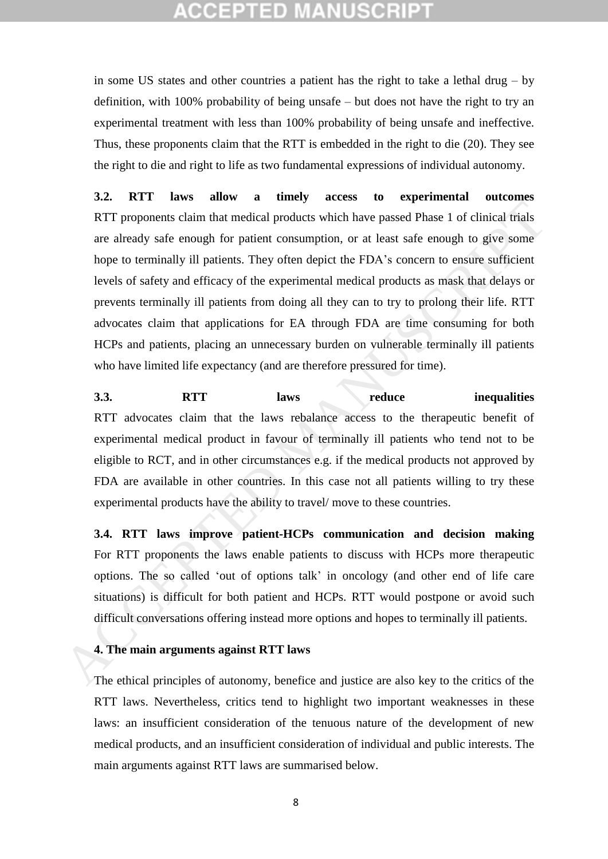### CCEPTED M

in some US states and other countries a patient has the right to take a lethal drug  $-$  by definition, with 100% probability of being unsafe – but does not have the right to try an experimental treatment with less than 100% probability of being unsafe and ineffective. Thus, these proponents claim that the RTT is embedded in the right to die (20). They see the right to die and right to life as two fundamental expressions of individual autonomy.

**3.2. RTT laws allow a timely access to experimental outcomes** RTT proponents claim that medical products which have passed Phase 1 of clinical trials are already safe enough for patient consumption, or at least safe enough to give some hope to terminally ill patients. They often depict the FDA's concern to ensure sufficient levels of safety and efficacy of the experimental medical products as mask that delays or prevents terminally ill patients from doing all they can to try to prolong their life. RTT advocates claim that applications for EA through FDA are time consuming for both HCPs and patients, placing an unnecessary burden on vulnerable terminally ill patients who have limited life expectancy (and are therefore pressured for time). Example 11 The method of the method of the same and the same and the end of the case of  $\mathbb{R}^2$ . The ending manuscription, the same already safe enough for patient consumption, or at least safe enough to give some hope

**3.3. RTT laws reduce inequalities**  RTT advocates claim that the laws rebalance access to the therapeutic benefit of experimental medical product in favour of terminally ill patients who tend not to be eligible to RCT, and in other circumstances e.g. if the medical products not approved by FDA are available in other countries. In this case not all patients willing to try these experimental products have the ability to travel/ move to these countries.

**3.4. RTT laws improve patient-HCPs communication and decision making**  For RTT proponents the laws enable patients to discuss with HCPs more therapeutic options. The so called 'out of options talk' in oncology (and other end of life care situations) is difficult for both patient and HCPs. RTT would postpone or avoid such difficult conversations offering instead more options and hopes to terminally ill patients.

### **4. The main arguments against RTT laws**

The ethical principles of autonomy, benefice and justice are also key to the critics of the RTT laws. Nevertheless, critics tend to highlight two important weaknesses in these laws: an insufficient consideration of the tenuous nature of the development of new medical products, and an insufficient consideration of individual and public interests. The main arguments against RTT laws are summarised below.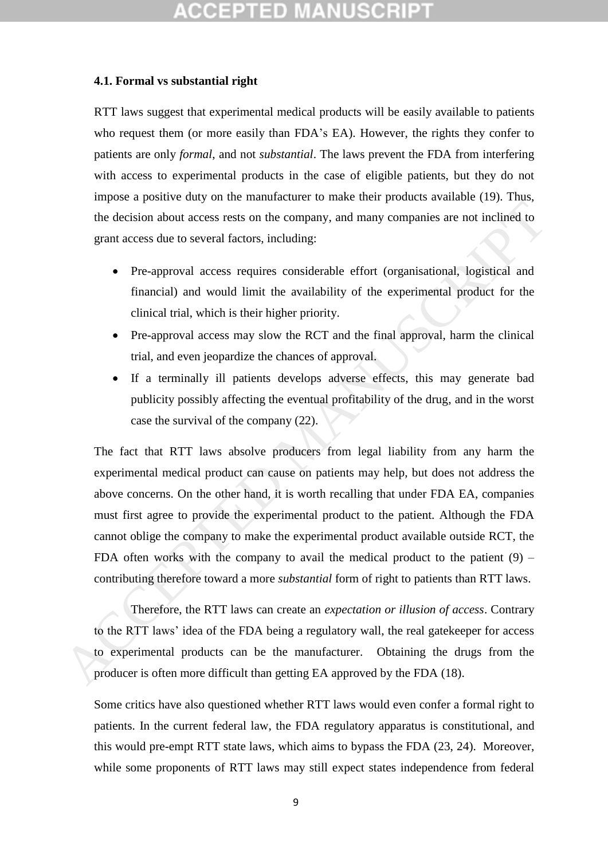### **4.1. Formal vs substantial right**

RTT laws suggest that experimental medical products will be easily available to patients who request them (or more easily than FDA's EA). However, the rights they confer to patients are only *formal*, and not *substantial*. The laws prevent the FDA from interfering with access to experimental products in the case of eligible patients, but they do not impose a positive duty on the manufacturer to make their products available (19). Thus, the decision about access rests on the company, and many companies are not inclined to grant access due to several factors, including:

- Pre-approval access requires considerable effort (organisational, logistical and financial) and would limit the availability of the experimental product for the clinical trial, which is their higher priority.
- Pre-approval access may slow the RCT and the final approval, harm the clinical trial, and even jeopardize the chances of approval.
- If a terminally ill patients develops adverse effects, this may generate bad publicity possibly affecting the eventual profitability of the drug, and in the worst case the survival of the company (22).

The fact that RTT laws absolve producers from legal liability from any harm the experimental medical product can cause on patients may help, but does not address the above concerns. On the other hand, it is worth recalling that under FDA EA, companies must first agree to provide the experimental product to the patient. Although the FDA cannot oblige the company to make the experimental product available outside RCT, the FDA often works with the company to avail the medical product to the patient  $(9)$  – contributing therefore toward a more *substantial* form of right to patients than RTT laws. The decision about access rests on the company, and many companies are not inclined to<br>grant access due to several factors, including:<br>
• Pre-approval access requires considerable effort (organisational, logistical and<br>
fi

Therefore, the RTT laws can create an *expectation or illusion of access*. Contrary to the RTT laws' idea of the FDA being a regulatory wall, the real gatekeeper for access to experimental products can be the manufacturer. Obtaining the drugs from the producer is often more difficult than getting EA approved by the FDA (18).

Some critics have also questioned whether RTT laws would even confer a formal right to patients. In the current federal law, the FDA regulatory apparatus is constitutional, and this would pre-empt RTT state laws, which aims to bypass the FDA (23, 24). Moreover, while some proponents of RTT laws may still expect states independence from federal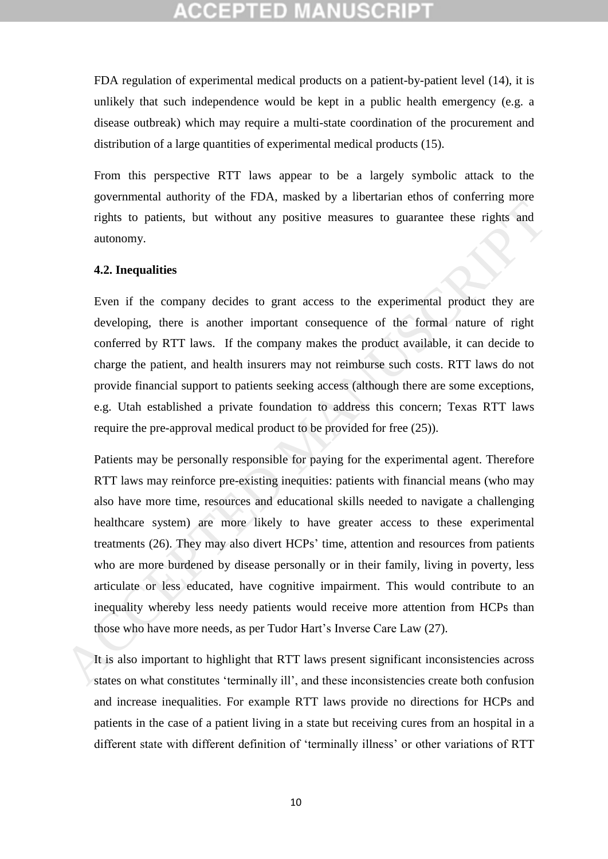# :CEPTED M

FDA regulation of experimental medical products on a patient-by-patient level (14), it is unlikely that such independence would be kept in a public health emergency (e.g. a disease outbreak) which may require a multi-state coordination of the procurement and distribution of a large quantities of experimental medical products (15).

From this perspective RTT laws appear to be a largely symbolic attack to the governmental authority of the FDA, masked by a libertarian ethos of conferring more rights to patients, but without any positive measures to guarantee these rights and autonomy.

### **4.2. Inequalities**

Even if the company decides to grant access to the experimental product they are developing, there is another important consequence of the formal nature of right conferred by RTT laws. If the company makes the product available, it can decide to charge the patient, and health insurers may not reimburse such costs. RTT laws do not provide financial support to patients seeking access (although there are some exceptions, e.g. Utah established a private foundation to address this concern; Texas RTT laws require the pre-approval medical product to be provided for free (25)).

Patients may be personally responsible for paying for the experimental agent. Therefore RTT laws may reinforce pre-existing inequities: patients with financial means (who may also have more time, resources and educational skills needed to navigate a challenging healthcare system) are more likely to have greater access to these experimental treatments (26). They may also divert HCPs' time, attention and resources from patients who are more burdened by disease personally or in their family, living in poverty, less articulate or less educated, have cognitive impairment. This would contribute to an inequality whereby less needy patients would receive more attention from HCPs than those who have more needs, as per Tudor Hart's Inverse Care Law (27). rights to patients, but without any positive measures to guarantee these rights and<br>autonomy.<br>
4.2. Inequalities<br>
Even if the company decides to grant access to the experimental product they are<br>
developing, there is anoth

It is also important to highlight that RTT laws present significant inconsistencies across states on what constitutes 'terminally ill', and these inconsistencies create both confusion and increase inequalities. For example RTT laws provide no directions for HCPs and patients in the case of a patient living in a state but receiving cures from an hospital in a different state with different definition of 'terminally illness' or other variations of RTT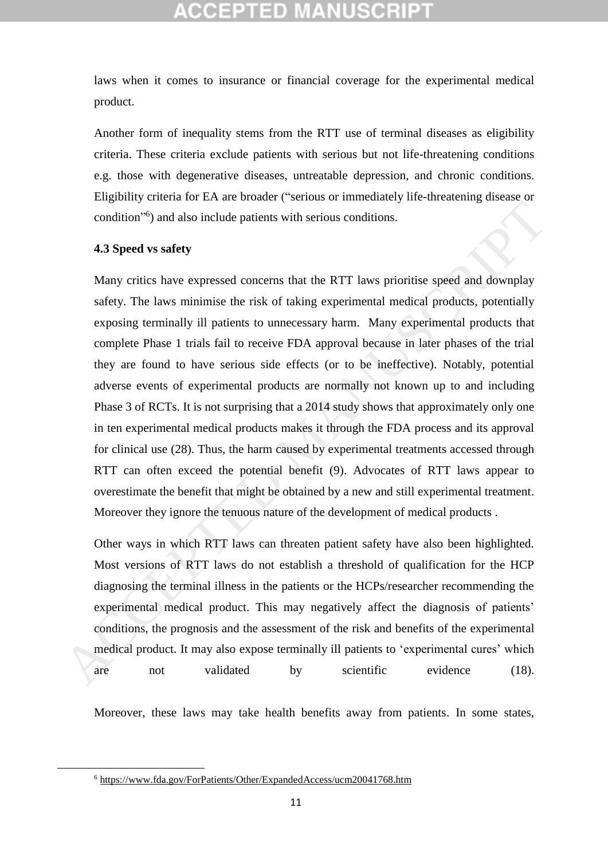# (CEPTED)

laws when it comes to insurance or financial coverage for the experimental medical product.

Another form of inequality stems from the RTT use of terminal diseases as eligibility criteria. These criteria exclude patients with serious but not life-threatening conditions e.g. those with degenerative diseases, untreatable depression, and chronic conditions. Eligibility criteria for EA are broader ("serious or immediately life-threatening disease or condition" 6 ) and also include patients with serious conditions.

### **4.3 Speed vs safety**

 $\overline{a}$ 

Many critics have expressed concerns that the RTT laws prioritise speed and downplay safety. The laws minimise the risk of taking experimental medical products, potentially exposing terminally ill patients to unnecessary harm. Many experimental products that complete Phase 1 trials fail to receive FDA approval because in later phases of the trial they are found to have serious side effects (or to be ineffective). Notably, potential adverse events of experimental products are normally not known up to and including Phase 3 of RCTs. It is not surprising that a 2014 study shows that approximately only one in ten experimental medical products makes it through the FDA process and its approval for clinical use (28). Thus, the harm caused by experimental treatments accessed through RTT can often exceed the potential benefit (9). Advocates of RTT laws appear to overestimate the benefit that might be obtained by a new and still experimental treatment. Moreover they ignore the tenuous nature of the development of medical products . condition<sup>-6</sup>) and also include patients with serious conditions.<br> **4.3 Speed vs safety**<br>
Many critics have expressed concerns that the RTT laws prioritise speed and downplay<br>
stepty. The laws minimise the risk of taking

Other ways in which RTT laws can threaten patient safety have also been highlighted. Most versions of RTT laws do not establish a threshold of qualification for the HCP diagnosing the terminal illness in the patients or the HCPs/researcher recommending the experimental medical product. This may negatively affect the diagnosis of patients' conditions, the prognosis and the assessment of the risk and benefits of the experimental medical product. It may also expose terminally ill patients to 'experimental cures' which are not validated by scientific evidence (18).

Moreover, these laws may take health benefits away from patients. In some states,

<sup>6</sup> https://www.fda.gov/ForPatients/Other/ExpandedAccess/ucm20041768.htm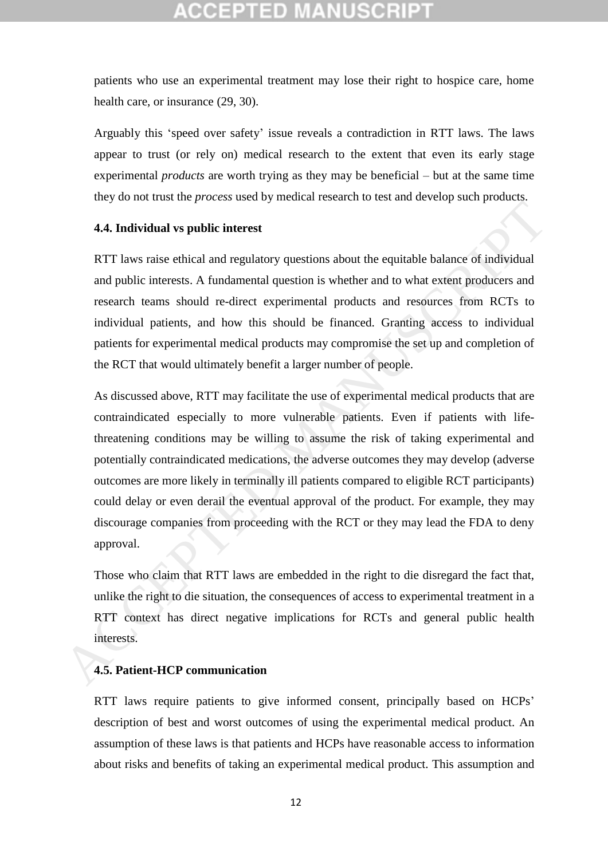# CEPTED

patients who use an experimental treatment may lose their right to hospice care, home health care, or insurance (29, 30).

Arguably this 'speed over safety' issue reveals a contradiction in RTT laws. The laws appear to trust (or rely on) medical research to the extent that even its early stage experimental *products* are worth trying as they may be beneficial – but at the same time they do not trust the *process* used by medical research to test and develop such products*.*

### **4.4. Individual vs public interest**

RTT laws raise ethical and regulatory questions about the equitable balance of individual and public interests. A fundamental question is whether and to what extent producers and research teams should re-direct experimental products and resources from RCTs to individual patients, and how this should be financed. Granting access to individual patients for experimental medical products may compromise the set up and completion of the RCT that would ultimately benefit a larger number of people.

As discussed above, RTT may facilitate the use of experimental medical products that are contraindicated especially to more vulnerable patients. Even if patients with lifethreatening conditions may be willing to assume the risk of taking experimental and potentially contraindicated medications, the adverse outcomes they may develop (adverse outcomes are more likely in terminally ill patients compared to eligible RCT participants) could delay or even derail the eventual approval of the product. For example, they may discourage companies from proceeding with the RCT or they may lead the FDA to deny approval. 4.4. Individual vs public interest<br>RTT laws raise ethical and regulatory questions about the equitable balance of individual<br>and public interests. A fundamental question is whether and to what exteen producers and<br>research

Those who claim that RTT laws are embedded in the right to die disregard the fact that, unlike the right to die situation, the consequences of access to experimental treatment in a RTT context has direct negative implications for RCTs and general public health interests.

### **4.5. Patient-HCP communication**

RTT laws require patients to give informed consent, principally based on HCPs' description of best and worst outcomes of using the experimental medical product. An assumption of these laws is that patients and HCPs have reasonable access to information about risks and benefits of taking an experimental medical product. This assumption and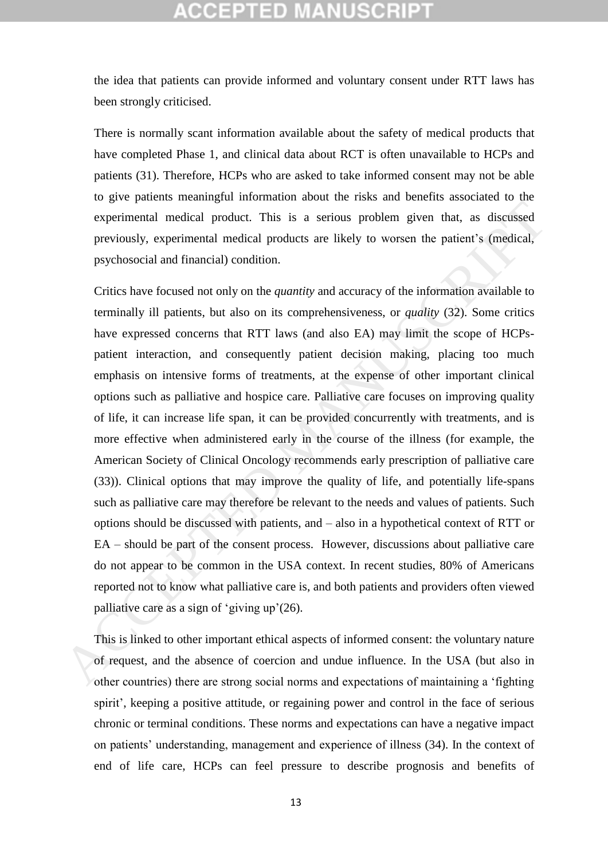# CCEPTED MANUSCRIP

the idea that patients can provide informed and voluntary consent under RTT laws has been strongly criticised.

There is normally scant information available about the safety of medical products that have completed Phase 1, and clinical data about RCT is often unavailable to HCPs and patients (31). Therefore, HCPs who are asked to take informed consent may not be able to give patients meaningful information about the risks and benefits associated to the experimental medical product. This is a serious problem given that, as discussed previously, experimental medical products are likely to worsen the patient's (medical, psychosocial and financial) condition.

Critics have focused not only on the *quantity* and accuracy of the information available to terminally ill patients, but also on its comprehensiveness, or *quality* (32). Some critics have expressed concerns that RTT laws (and also EA) may limit the scope of HCPspatient interaction, and consequently patient decision making, placing too much emphasis on intensive forms of treatments, at the expense of other important clinical options such as palliative and hospice care. Palliative care focuses on improving quality of life, it can increase life span, it can be provided concurrently with treatments, and is more effective when administered early in the course of the illness (for example, the American Society of Clinical Oncology recommends early prescription of palliative care (33)). Clinical options that may improve the quality of life, and potentially life-spans such as palliative care may therefore be relevant to the needs and values of patients. Such options should be discussed with patients, and – also in a hypothetical context of RTT or EA – should be part of the consent process. However, discussions about palliative care do not appear to be common in the USA context. In recent studies, 80% of Americans reported not to know what palliative care is, and both patients and providers often viewed palliative care as a sign of 'giving up'(26). experimental medical product. This is a serious problem given that, as discussed<br>previously, experimental medical products are likely to worsen the patient's (medical,<br>psychosocial and financial) condition.<br>Critics have f

This is linked to other important ethical aspects of informed consent: the voluntary nature of request, and the absence of coercion and undue influence. In the USA (but also in other countries) there are strong social norms and expectations of maintaining a 'fighting spirit', keeping a positive attitude, or regaining power and control in the face of serious chronic or terminal conditions. These norms and expectations can have a negative impact on patients' understanding, management and experience of illness (34). In the context of end of life care, HCPs can feel pressure to describe prognosis and benefits of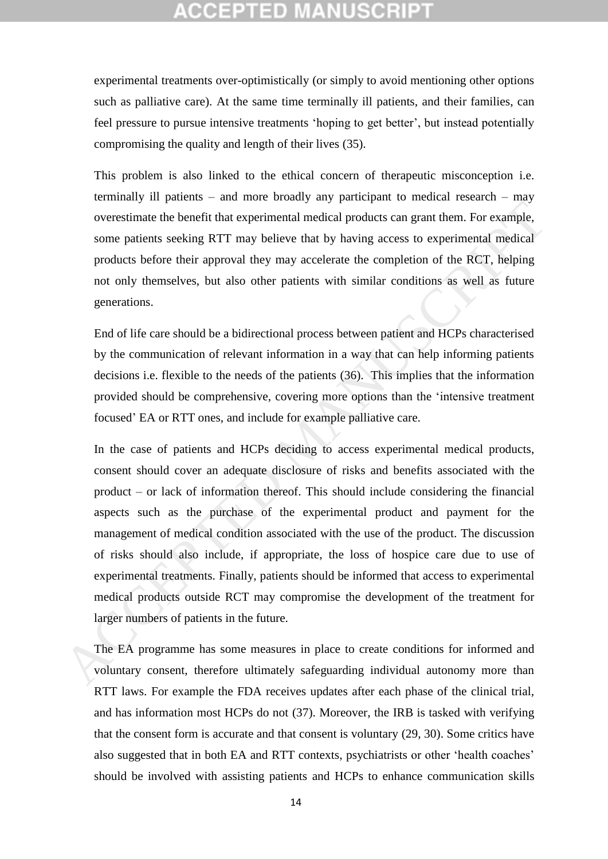## **CCEPTED MANUSCR**

experimental treatments over-optimistically (or simply to avoid mentioning other options such as palliative care). At the same time terminally ill patients, and their families, can feel pressure to pursue intensive treatments 'hoping to get better', but instead potentially compromising the quality and length of their lives (35).

This problem is also linked to the ethical concern of therapeutic misconception i.e. terminally ill patients – and more broadly any participant to medical research – may overestimate the benefit that experimental medical products can grant them. For example, some patients seeking RTT may believe that by having access to experimental medical products before their approval they may accelerate the completion of the RCT, helping not only themselves, but also other patients with similar conditions as well as future generations.

End of life care should be a bidirectional process between patient and HCPs characterised by the communication of relevant information in a way that can help informing patients decisions i.e. flexible to the needs of the patients (36). This implies that the information provided should be comprehensive, covering more options than the 'intensive treatment focused' EA or RTT ones, and include for example palliative care.

In the case of patients and HCPs deciding to access experimental medical products, consent should cover an adequate disclosure of risks and benefits associated with the product – or lack of information thereof. This should include considering the financial aspects such as the purchase of the experimental product and payment for the management of medical condition associated with the use of the product. The discussion of risks should also include, if appropriate, the loss of hospice care due to use of experimental treatments. Finally, patients should be informed that access to experimental medical products outside RCT may compromise the development of the treatment for larger numbers of patients in the future. overestimate the benefit that experimental medical products can grant them. For example,<br>some patients seeking RTT may believe that by having access to experimental medical<br>products before their approval they may accelerat

The EA programme has some measures in place to create conditions for informed and voluntary consent, therefore ultimately safeguarding individual autonomy more than RTT laws. For example the FDA receives updates after each phase of the clinical trial, and has information most HCPs do not (37). Moreover, the IRB is tasked with verifying that the consent form is accurate and that consent is voluntary (29, 30). Some critics have also suggested that in both EA and RTT contexts, psychiatrists or other 'health coaches' should be involved with assisting patients and HCPs to enhance communication skills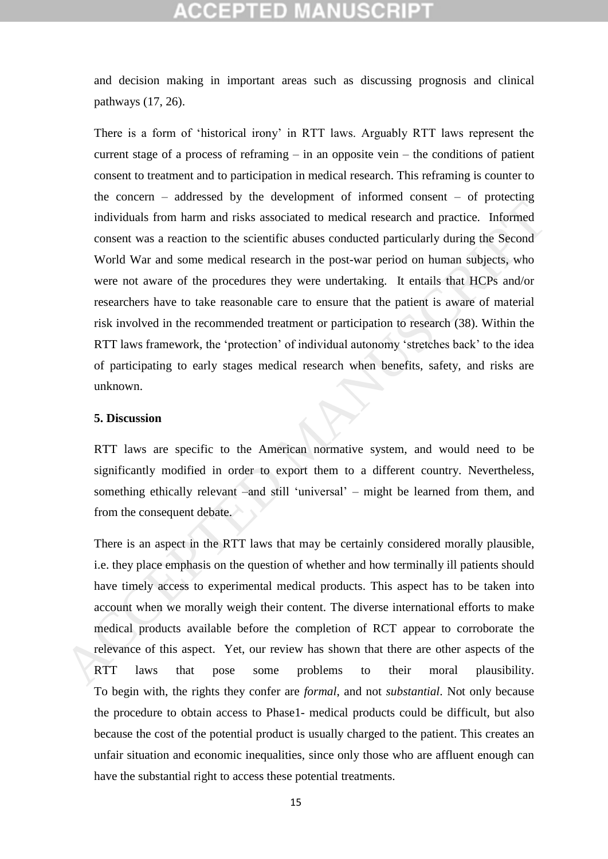# CCEPTED M

and decision making in important areas such as discussing prognosis and clinical pathways (17, 26).

There is a form of 'historical irony' in RTT laws. Arguably RTT laws represent the current stage of a process of reframing  $-$  in an opposite vein  $-$  the conditions of patient consent to treatment and to participation in medical research. This reframing is counter to the concern – addressed by the development of informed consent – of protecting individuals from harm and risks associated to medical research and practice. Informed consent was a reaction to the scientific abuses conducted particularly during the Second World War and some medical research in the post-war period on human subjects, who were not aware of the procedures they were undertaking. It entails that HCPs and/or researchers have to take reasonable care to ensure that the patient is aware of material risk involved in the recommended treatment or participation to research (38). Within the RTT laws framework, the 'protection' of individual autonomy 'stretches back' to the idea of participating to early stages medical research when benefits, safety, and risks are unknown. individuals from harm and risks associated to medical research and practice. Informed<br>consent was a reaction to the scientific abuses conducted particularly during the Second<br>World War and some medical research in the post

### **5. Discussion**

RTT laws are specific to the American normative system, and would need to be significantly modified in order to export them to a different country. Nevertheless, something ethically relevant –and still 'universal' – might be learned from them, and from the consequent debate.

There is an aspect in the RTT laws that may be certainly considered morally plausible, i.e. they place emphasis on the question of whether and how terminally ill patients should have timely access to experimental medical products. This aspect has to be taken into account when we morally weigh their content. The diverse international efforts to make medical products available before the completion of RCT appear to corroborate the relevance of this aspect. Yet, our review has shown that there are other aspects of the RTT laws that pose some problems to their moral plausibility. To begin with, the rights they confer are *formal*, and not *substantial*. Not only because the procedure to obtain access to Phase1- medical products could be difficult, but also because the cost of the potential product is usually charged to the patient. This creates an unfair situation and economic inequalities, since only those who are affluent enough can have the substantial right to access these potential treatments.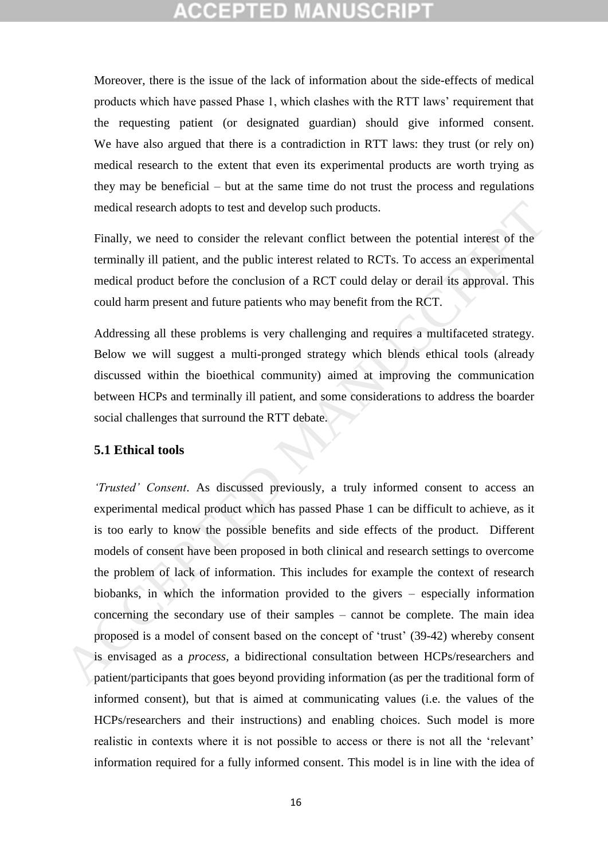Moreover, there is the issue of the lack of information about the side-effects of medical products which have passed Phase 1, which clashes with the RTT laws' requirement that the requesting patient (or designated guardian) should give informed consent. We have also argued that there is a contradiction in RTT laws: they trust (or rely on) medical research to the extent that even its experimental products are worth trying as they may be beneficial – but at the same time do not trust the process and regulations medical research adopts to test and develop such products.

Finally, we need to consider the relevant conflict between the potential interest of the terminally ill patient, and the public interest related to RCTs. To access an experimental medical product before the conclusion of a RCT could delay or derail its approval. This could harm present and future patients who may benefit from the RCT.

Addressing all these problems is very challenging and requires a multifaceted strategy. Below we will suggest a multi-pronged strategy which blends ethical tools (already discussed within the bioethical community) aimed at improving the communication between HCPs and terminally ill patient, and some considerations to address the boarder social challenges that surround the RTT debate.

### **5.1 Ethical tools**

*'Trusted' Consent*. As discussed previously, a truly informed consent to access an experimental medical product which has passed Phase 1 can be difficult to achieve, as it is too early to know the possible benefits and side effects of the product. Different models of consent have been proposed in both clinical and research settings to overcome the problem of lack of information. This includes for example the context of research biobanks, in which the information provided to the givers – especially information concerning the secondary use of their samples – cannot be complete. The main idea proposed is a model of consent based on the concept of 'trust' (39-42) whereby consent is envisaged as a *process,* a bidirectional consultation between HCPs/researchers and patient/participants that goes beyond providing information (as per the traditional form of informed consent), but that is aimed at communicating values (i.e. the values of the HCPs/researchers and their instructions) and enabling choices. Such model is more realistic in contexts where it is not possible to access or there is not all the 'relevant' information required for a fully informed consent. This model is in line with the idea of medical research adopts to test and develop such products.<br>
Finally, we need to consider the relevant conflict between the potential interest of the<br>
terminally ill patient, and the public interest related to RCTs. To acc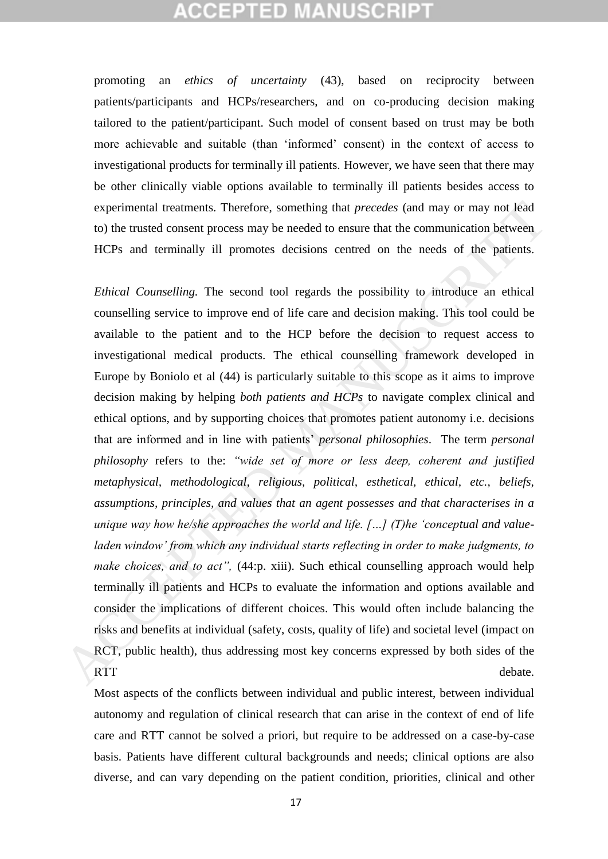# :CEPTED M

promoting an *ethics of uncertainty* (43), based on reciprocity between patients/participants and HCPs/researchers, and on co-producing decision making tailored to the patient/participant. Such model of consent based on trust may be both more achievable and suitable (than 'informed' consent) in the context of access to investigational products for terminally ill patients. However, we have seen that there may be other clinically viable options available to terminally ill patients besides access to experimental treatments. Therefore, something that *precedes* (and may or may not lead to) the trusted consent process may be needed to ensure that the communication between HCPs and terminally ill promotes decisions centred on the needs of the patients.

*Ethical Counselling.* The second tool regards the possibility to introduce an ethical counselling service to improve end of life care and decision making. This tool could be available to the patient and to the HCP before the decision to request access to investigational medical products. The ethical counselling framework developed in Europe by Boniolo et al (44) is particularly suitable to this scope as it aims to improve decision making by helping *both patients and HCPs* to navigate complex clinical and ethical options, and by supporting choices that promotes patient autonomy i.e. decisions that are informed and in line with patients' *personal philosophies*. The term *personal philosophy* refers to the: *"wide set of more or less deep, coherent and justified metaphysical, methodological, religious, political, esthetical, ethical, etc., beliefs, assumptions, principles, and values that an agent possesses and that characterises in a unique way how he/she approaches the world and life. […] (T)he 'conceptual and valueladen window' from which any individual starts reflecting in order to make judgments, to make choices, and to act"*, (44:p. xiii). Such ethical counselling approach would help terminally ill patients and HCPs to evaluate the information and options available and consider the implications of different choices. This would often include balancing the risks and benefits at individual (safety, costs, quality of life) and societal level (impact on RCT, public health), thus addressing most key concerns expressed by both sides of the RTT debate. experimental treatments. Therefore, something that *precedes* (and may or may not lead<br>to) the trusted consent process may be needed to ensure that the communication between<br>HCPs and terminally ill promotes decisions cent

Most aspects of the conflicts between individual and public interest, between individual autonomy and regulation of clinical research that can arise in the context of end of life care and RTT cannot be solved a priori, but require to be addressed on a case-by-case basis. Patients have different cultural backgrounds and needs; clinical options are also diverse, and can vary depending on the patient condition, priorities, clinical and other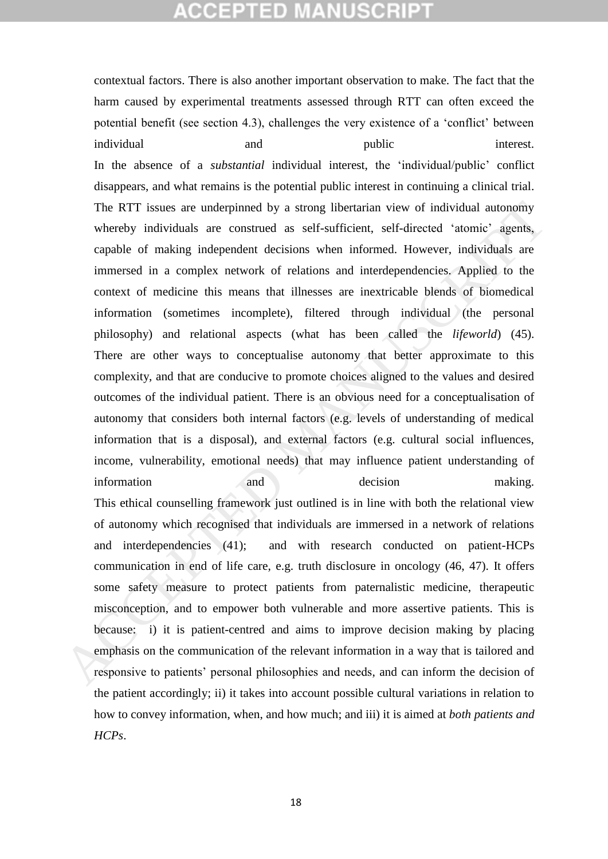# **CCEPTED MANUSCRIPT**

contextual factors. There is also another important observation to make. The fact that the harm caused by experimental treatments assessed through RTT can often exceed the potential benefit (see section 4.3), challenges the very existence of a 'conflict' between individual and and public interest. In the absence of a *substantial* individual interest, the 'individual/public' conflict disappears, and what remains is the potential public interest in continuing a clinical trial. The RTT issues are underpinned by a strong libertarian view of individual autonomy whereby individuals are construed as self-sufficient, self-directed 'atomic' agents, capable of making independent decisions when informed. However, individuals are immersed in a complex network of relations and interdependencies. Applied to the context of medicine this means that illnesses are inextricable blends of biomedical information (sometimes incomplete), filtered through individual (the personal philosophy) and relational aspects (what has been called the *lifeworld*) (45). There are other ways to conceptualise autonomy that better approximate to this complexity, and that are conducive to promote choices aligned to the values and desired outcomes of the individual patient. There is an obvious need for a conceptualisation of autonomy that considers both internal factors (e.g. levels of understanding of medical information that is a disposal), and external factors (e.g. cultural social influences, income, vulnerability, emotional needs) that may influence patient understanding of information and and decision making. The RTT issues are underpinned by a strong lihertarian view of individual autonomy<br>whereby individuals are construed as self-sufficient, self-directed 'atomic' agents,<br>capable of making independent decisions when informed

This ethical counselling framework just outlined is in line with both the relational view of autonomy which recognised that individuals are immersed in a network of relations and interdependencies (41); and with research conducted on patient-HCPs communication in end of life care, e.g. truth disclosure in oncology (46, 47). It offers some safety measure to protect patients from paternalistic medicine, therapeutic misconception, and to empower both vulnerable and more assertive patients. This is because: i) it is patient-centred and aims to improve decision making by placing emphasis on the communication of the relevant information in a way that is tailored and responsive to patients' personal philosophies and needs, and can inform the decision of the patient accordingly; ii) it takes into account possible cultural variations in relation to how to convey information, when, and how much; and iii) it is aimed at *both patients and HCPs*.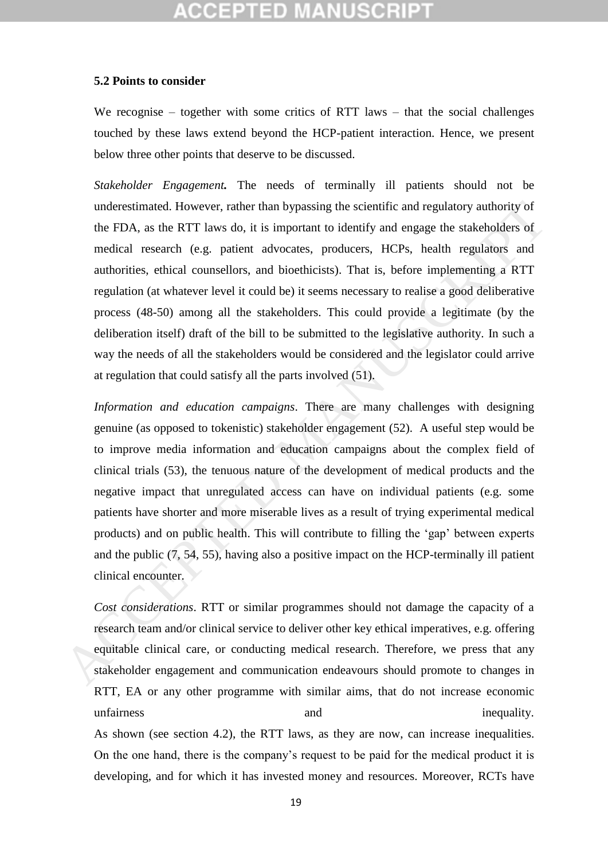# **CCEPTED MANUSCRIP**

### **5.2 Points to consider**

We recognise – together with some critics of RTT laws – that the social challenges touched by these laws extend beyond the HCP-patient interaction. Hence, we present below three other points that deserve to be discussed.

*Stakeholder Engagement.* The needs of terminally ill patients should not be underestimated. However, rather than bypassing the scientific and regulatory authority of the FDA, as the RTT laws do, it is important to identify and engage the stakeholders of medical research (e.g. patient advocates, producers, HCPs, health regulators and authorities, ethical counsellors, and bioethicists). That is, before implementing a RTT regulation (at whatever level it could be) it seems necessary to realise a good deliberative process (48-50) among all the stakeholders. This could provide a legitimate (by the deliberation itself) draft of the bill to be submitted to the legislative authority. In such a way the needs of all the stakeholders would be considered and the legislator could arrive at regulation that could satisfy all the parts involved  $(51)$ . underestimated. However, rather than bypassing the scientific and regulatory authority of<br>the FDA, as the RTT laws do, it is important to identify and engage the stackholders of<br>metical research (e.g., patient advocates,

*Information and education campaigns*. There are many challenges with designing genuine (as opposed to tokenistic) stakeholder engagement (52). A useful step would be to improve media information and education campaigns about the complex field of clinical trials (53), the tenuous nature of the development of medical products and the negative impact that unregulated access can have on individual patients (e.g. some patients have shorter and more miserable lives as a result of trying experimental medical products) and on public health. This will contribute to filling the 'gap' between experts and the public (7, 54, 55), having also a positive impact on the HCP-terminally ill patient clinical encounter.

*Cost considerations*. RTT or similar programmes should not damage the capacity of a research team and/or clinical service to deliver other key ethical imperatives, e.g. offering equitable clinical care, or conducting medical research. Therefore, we press that any stakeholder engagement and communication endeavours should promote to changes in RTT, EA or any other programme with similar aims, that do not increase economic unfairness and inequality. As shown (see section 4.2), the RTT laws, as they are now, can increase inequalities. On the one hand, there is the company's request to be paid for the medical product it is developing, and for which it has invested money and resources. Moreover, RCTs have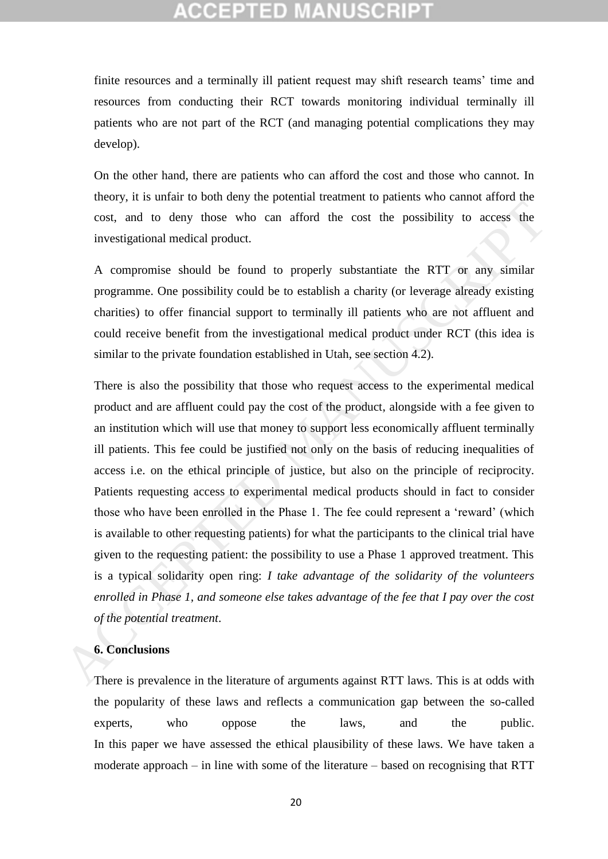## CCEPTED

finite resources and a terminally ill patient request may shift research teams' time and resources from conducting their RCT towards monitoring individual terminally ill patients who are not part of the RCT (and managing potential complications they may develop).

On the other hand, there are patients who can afford the cost and those who cannot. In theory, it is unfair to both deny the potential treatment to patients who cannot afford the cost, and to deny those who can afford the cost the possibility to access the investigational medical product.

A compromise should be found to properly substantiate the RTT or any similar programme. One possibility could be to establish a charity (or leverage already existing charities) to offer financial support to terminally ill patients who are not affluent and could receive benefit from the investigational medical product under RCT (this idea is similar to the private foundation established in Utah, see section 4.2).

There is also the possibility that those who request access to the experimental medical product and are affluent could pay the cost of the product, alongside with a fee given to an institution which will use that money to support less economically affluent terminally ill patients. This fee could be justified not only on the basis of reducing inequalities of access i.e. on the ethical principle of justice, but also on the principle of reciprocity. Patients requesting access to experimental medical products should in fact to consider those who have been enrolled in the Phase 1. The fee could represent a 'reward' (which is available to other requesting patients) for what the participants to the clinical trial have given to the requesting patient: the possibility to use a Phase 1 approved treatment. This is a typical solidarity open ring: *I take advantage of the solidarity of the volunteers enrolled in Phase 1, and someone else takes advantage of the fee that I pay over the cost of the potential treatment*. cost, and to deny those who can afford the cost the possibility to access the investigational medical product.<br>
A compromise should be found to properly substantiate the RTT or any similar programme. One possibility could

### **6. Conclusions**

There is prevalence in the literature of arguments against RTT laws. This is at odds with the popularity of these laws and reflects a communication gap between the so-called experts, who oppose the laws, and the public. In this paper we have assessed the ethical plausibility of these laws. We have taken a moderate approach – in line with some of the literature – based on recognising that RTT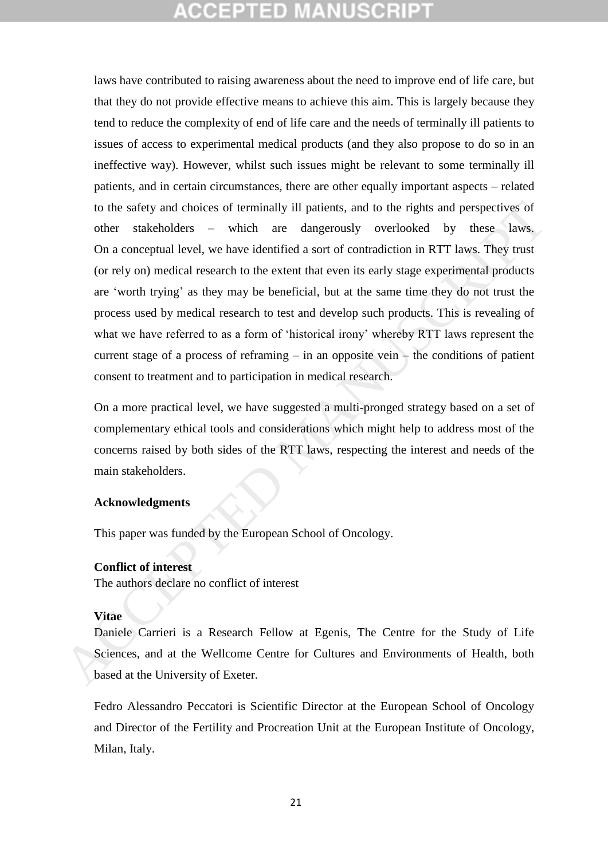# CCEPTED M

laws have contributed to raising awareness about the need to improve end of life care, but that they do not provide effective means to achieve this aim. This is largely because they tend to reduce the complexity of end of life care and the needs of terminally ill patients to issues of access to experimental medical products (and they also propose to do so in an ineffective way). However, whilst such issues might be relevant to some terminally ill patients, and in certain circumstances, there are other equally important aspects – related to the safety and choices of terminally ill patients, and to the rights and perspectives of other stakeholders – which are dangerously overlooked by these laws. On a conceptual level, we have identified a sort of contradiction in RTT laws. They trust (or rely on) medical research to the extent that even its early stage experimental products are 'worth trying' as they may be beneficial, but at the same time they do not trust the process used by medical research to test and develop such products. This is revealing of what we have referred to as a form of 'historical irony' whereby RTT laws represent the current stage of a process of reframing – in an opposite vein – the conditions of patient consent to treatment and to participation in medical research. to the safety and choices of terminally ill patients, and to the rights and perspectives of<br>other stakeholders - which are dangerously overlooked by these laws.<br>On a concepulal level, we have identified a sort of contradic

On a more practical level, we have suggested a multi-pronged strategy based on a set of complementary ethical tools and considerations which might help to address most of the concerns raised by both sides of the RTT laws, respecting the interest and needs of the main stakeholders.

### **Acknowledgments**

This paper was funded by the European School of Oncology.

### **Conflict of interest**

The authors declare no conflict of interest

#### **Vitae**

Daniele Carrieri is a Research Fellow at Egenis, The Centre for the Study of Life Sciences, and at the Wellcome Centre for Cultures and Environments of Health, both based at the University of Exeter.

Fedro Alessandro Peccatori is Scientific Director at the European School of Oncology and Director of the Fertility and Procreation Unit at the European Institute of Oncology, Milan, Italy.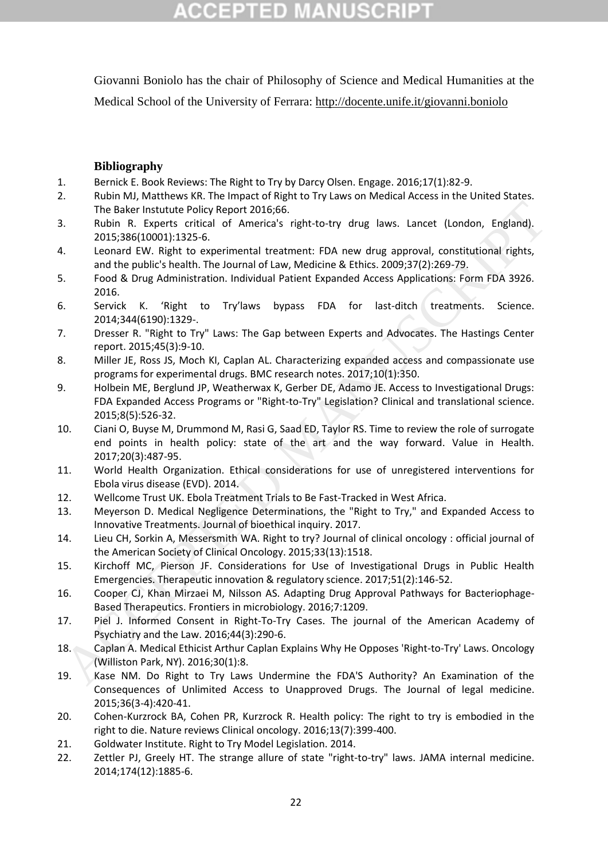# GGEPTED M

Giovanni Boniolo has the chair of Philosophy of Science and Medical Humanities at the Medical School of the University of Ferrara: http://docente.unife.it/giovanni.boniolo

### **Bibliography**

- 1. Bernick E. Book Reviews: The Right to Try by Darcy Olsen. Engage. 2016;17(1):82-9.
- 2. Rubin MJ, Matthews KR. The Impact of Right to Try Laws on Medical Access in the United States. The Baker Instutute Policy Report 2016;66.
- 3. Rubin R. Experts critical of America's right-to-try drug laws. Lancet (London, England). 2015;386(10001):1325-6.
- 4. Leonard EW. Right to experimental treatment: FDA new drug approval, constitutional rights, and the public's health. The Journal of Law, Medicine & Ethics. 2009;37(2):269-79.
- 5. Food & Drug Administration. Individual Patient Expanded Access Applications: Form FDA 3926. 2016.
- 6. Servick K. 'Right to Try'laws bypass FDA for last-ditch treatments. Science. 2014;344(6190):1329-.
- 7. Dresser R. "Right to Try" Laws: The Gap between Experts and Advocates. The Hastings Center report. 2015;45(3):9-10.
- 8. Miller JE, Ross JS, Moch KI, Caplan AL. Characterizing expanded access and compassionate use programs for experimental drugs. BMC research notes. 2017;10(1):350.
- 9. Holbein ME, Berglund JP, Weatherwax K, Gerber DE, Adamo JE. Access to Investigational Drugs: FDA Expanded Access Programs or "Right-to-Try" Legislation? Clinical and translational science. 2015;8(5):526-32. The Baker Institute Policy Report 2016;66.<br>
A Rubin R. Experts critical of America's right-to-try drug laws. Lancet (London, England),<br>
2015;386(10001):1325-6.<br>
A conard EW. Right to experimental treatment: FDA new drug a
- 10. Ciani O, Buyse M, Drummond M, Rasi G, Saad ED, Taylor RS. Time to review the role of surrogate end points in health policy: state of the art and the way forward. Value in Health. 2017;20(3):487-95.
- 11. World Health Organization. Ethical considerations for use of unregistered interventions for Ebola virus disease (EVD). 2014.
- 12. Wellcome Trust UK. Ebola Treatment Trials to Be Fast-Tracked in West Africa.
- 13. Meyerson D. Medical Negligence Determinations, the "Right to Try," and Expanded Access to Innovative Treatments. Journal of bioethical inquiry. 2017.
- 14. Lieu CH, Sorkin A, Messersmith WA. Right to try? Journal of clinical oncology : official journal of the American Society of Clinical Oncology. 2015;33(13):1518.
- 15. Kirchoff MC, Pierson JF. Considerations for Use of Investigational Drugs in Public Health Emergencies. Therapeutic innovation & regulatory science. 2017;51(2):146-52.
- 16. Cooper CJ, Khan Mirzaei M, Nilsson AS. Adapting Drug Approval Pathways for Bacteriophage-Based Therapeutics. Frontiers in microbiology. 2016;7:1209.
- 17. Piel J. Informed Consent in Right-To-Try Cases. The journal of the American Academy of Psychiatry and the Law. 2016;44(3):290-6.
- 18. Caplan A. Medical Ethicist Arthur Caplan Explains Why He Opposes 'Right-to-Try' Laws. Oncology (Williston Park, NY). 2016;30(1):8.
- 19. Kase NM. Do Right to Try Laws Undermine the FDA'S Authority? An Examination of the Consequences of Unlimited Access to Unapproved Drugs. The Journal of legal medicine. 2015;36(3-4):420-41.
- 20. Cohen-Kurzrock BA, Cohen PR, Kurzrock R. Health policy: The right to try is embodied in the right to die. Nature reviews Clinical oncology. 2016;13(7):399-400.
- 21. Goldwater Institute. Right to Try Model Legislation. 2014.
- 22. Zettler PJ, Greely HT. The strange allure of state "right-to-try" laws. JAMA internal medicine. 2014;174(12):1885-6.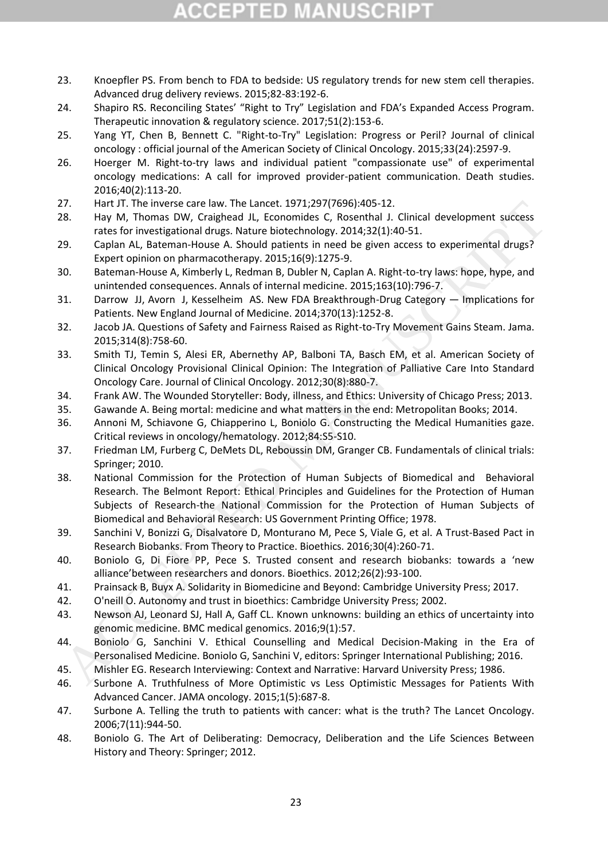# **CCEPTED MANUSCR**

- 23. Knoepfler PS. From bench to FDA to bedside: US regulatory trends for new stem cell therapies. Advanced drug delivery reviews. 2015;82-83:192-6.
- 24. Shapiro RS. Reconciling States' "Right to Try" Legislation and FDA's Expanded Access Program. Therapeutic innovation & regulatory science. 2017;51(2):153-6.
- 25. Yang YT, Chen B, Bennett C. "Right-to-Try" Legislation: Progress or Peril? Journal of clinical oncology : official journal of the American Society of Clinical Oncology. 2015;33(24):2597-9.
- 26. Hoerger M. Right-to-try laws and individual patient "compassionate use" of experimental oncology medications: A call for improved provider-patient communication. Death studies. 2016;40(2):113-20.
- 27. Hart JT. The inverse care law. The Lancet. 1971;297(7696):405-12.
- 28. Hay M, Thomas DW, Craighead JL, Economides C, Rosenthal J. Clinical development success rates for investigational drugs. Nature biotechnology. 2014;32(1):40-51.
- 29. Caplan AL, Bateman-House A. Should patients in need be given access to experimental drugs? Expert opinion on pharmacotherapy. 2015;16(9):1275-9.
- 30. Bateman-House A, Kimberly L, Redman B, Dubler N, Caplan A. Right-to-try laws: hope, hype, and unintended consequences. Annals of internal medicine. 2015;163(10):796-7.
- 31. Darrow JJ, Avorn J, Kesselheim AS. New FDA Breakthrough-Drug Category Implications for Patients. New England Journal of Medicine. 2014;370(13):1252-8.
- 32. Jacob JA. Questions of Safety and Fairness Raised as Right-to-Try Movement Gains Steam. Jama. 2015;314(8):758-60.
- 33. Smith TJ, Temin S, Alesi ER, Abernethy AP, Balboni TA, Basch EM, et al. American Society of Clinical Oncology Provisional Clinical Opinion: The Integration of Palliative Care Into Standard Oncology Care. Journal of Clinical Oncology. 2012;30(8):880-7.
- 34. Frank AW. The Wounded Storyteller: Body, illness, and Ethics: University of Chicago Press; 2013.
- 35. Gawande A. Being mortal: medicine and what matters in the end: Metropolitan Books; 2014.
- 36. Annoni M, Schiavone G, Chiapperino L, Boniolo G. Constructing the Medical Humanities gaze. Critical reviews in oncology/hematology. 2012;84:S5-S10.
- 37. Friedman LM, Furberg C, DeMets DL, Reboussin DM, Granger CB. Fundamentals of clinical trials: Springer; 2010.
- 38. National Commission for the Protection of Human Subjects of Biomedical and Behavioral Research. The Belmont Report: Ethical Principles and Guidelines for the Protection of Human Subjects of Research-the National Commission for the Protection of Human Subjects of Biomedical and Behavioral Research: US Government Printing Office; 1978. 7.7. Histriff. The inverse care law. The lancett 1971;2397/0869/405-112. Histriff. The inversigational drugs, Nature bitchcology, 2014;321/140-51.<br>
48. Histriff. The inversigational drugs, Nature bitchcology, 2014;321/140
- 39. Sanchini V, Bonizzi G, Disalvatore D, Monturano M, Pece S, Viale G, et al. A Trust-Based Pact in Research Biobanks. From Theory to Practice. Bioethics. 2016;30(4):260-71.
- 40. Boniolo G, Di Fiore PP, Pece S. Trusted consent and research biobanks: towards a 'new alliance'between researchers and donors. Bioethics. 2012;26(2):93-100.
- 41. Prainsack B, Buyx A. Solidarity in Biomedicine and Beyond: Cambridge University Press; 2017.
- 42. O'neill O. Autonomy and trust in bioethics: Cambridge University Press; 2002.
- 43. Newson AJ, Leonard SJ, Hall A, Gaff CL. Known unknowns: building an ethics of uncertainty into genomic medicine. BMC medical genomics. 2016;9(1):57.
- 44. Boniolo G, Sanchini V. Ethical Counselling and Medical Decision-Making in the Era of Personalised Medicine. Boniolo G, Sanchini V, editors: Springer International Publishing; 2016.
- 45. Mishler EG. Research Interviewing: Context and Narrative: Harvard University Press; 1986.
- 46. Surbone A. Truthfulness of More Optimistic vs Less Optimistic Messages for Patients With Advanced Cancer. JAMA oncology. 2015;1(5):687-8.
- 47. Surbone A. Telling the truth to patients with cancer: what is the truth? The Lancet Oncology. 2006;7(11):944-50.
- 48. Boniolo G. The Art of Deliberating: Democracy, Deliberation and the Life Sciences Between History and Theory: Springer; 2012.